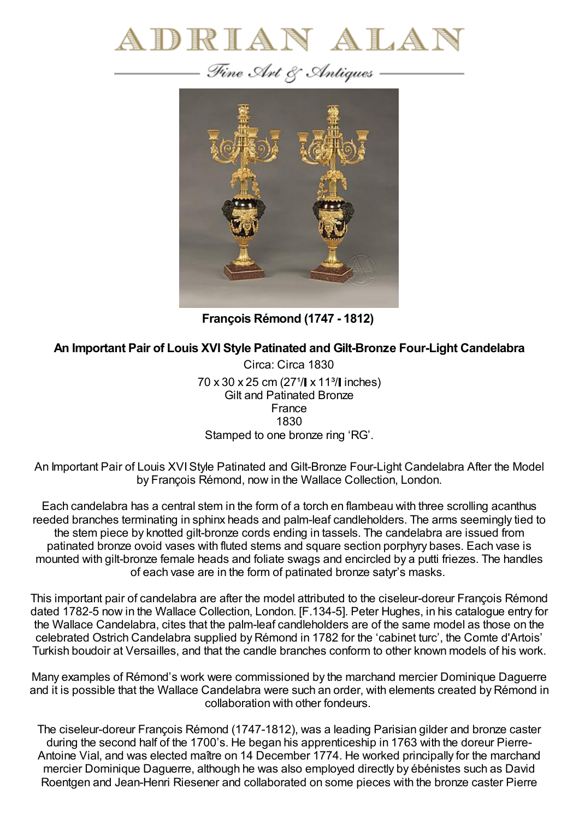

— Fine Art & Antiques –



**François Rémond (1747 - 1812)**

## **An Important Pair of Louis XVI Style Patinated and Gilt-Bronze Four-Light Candelabra**

Circa: Circa 1830 70 x 30 x 25 cm (27<sup>1</sup>/ $\vert$  x 11<sup>3</sup>/ $\vert$  inches) Gilt and Patinated Bronze France 1830 Stamped to one bronze ring 'RG'.

An Important Pair of Louis XVIStyle Patinated and Gilt-Bronze Four-Light Candelabra After the Model by François Rémond, now in the Wallace Collection, London.

Each candelabra has a central stem in the form of a torch en flambeau with three scrolling acanthus reeded branches terminating in sphinx heads and palm-leaf candleholders. The arms seemingly tied to the stem piece by knotted gilt-bronze cords ending in tassels. The candelabra are issued from patinated bronze ovoid vases with fluted stems and square section porphyry bases. Each vase is mounted with gilt-bronze female heads and foliate swags and encircled by a putti friezes. The handles of each vase are in the form of patinated bronze satyr's masks.

This important pair of candelabra are after the model attributed to the ciseleur-doreur François Rémond dated 1782-5 now in the Wallace Collection, London. [F.134-5]. Peter Hughes, in his catalogue entry for the Wallace Candelabra, cites that the palm-leaf candleholders are of the same model as those on the celebrated Ostrich Candelabra supplied by Rémond in 1782 for the 'cabinet turc', the Comte d'Artois' Turkish boudoir at Versailles, and that the candle branches conform to other known models of his work.

Many examples of Rémond's work were commissioned by the marchand mercier Dominique Daguerre and it is possible that the Wallace Candelabra were such an order, with elements created by Rémond in collaboration with other fondeurs.

The ciseleur-doreur François Rémond (1747-1812), was a leading Parisian gilder and bronze caster during the second half of the 1700's. He began his apprenticeship in 1763 with the doreur Pierre-Antoine Vial, and was elected maître on 14 December 1774. He worked principally for the marchand mercier Dominique Daguerre, although he was also employed directly by ébénistes such as David Roentgen and Jean-Henri Riesener and collaborated on some pieces with the bronze caster Pierre